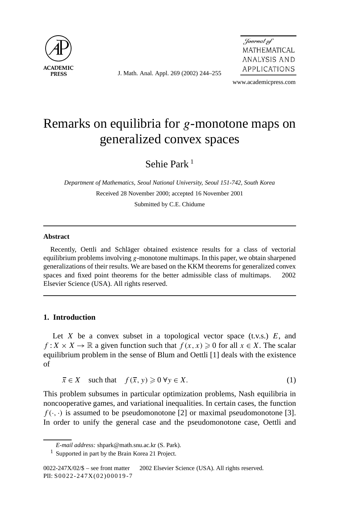

J. Math. Anal. Appl. 269 (2002) 244–255

Journal of MATHEMATICAL ANALYSIS AND APPLICATIONS

www.academicpress.com

# Remarks on equilibria for *g*-monotone maps on generalized convex spaces

Sehie Park<sup>1</sup>

*Department of Mathematics, Seoul National University, Seoul 151-742, South Korea* Received 28 November 2000; accepted 16 November 2001 Submitted by C.E. Chidume

## **Abstract**

Recently, Oettli and Schläger obtained existence results for a class of vectorial equilibrium problems involving *g*-monotone multimaps. In this paper, we obtain sharpened generalizations of their results. We are based on the KKM theorems for generalized convex spaces and fixed point theorems for the better admissible class of multimaps.  $\odot$  2002 Elsevier Science (USA). All rights reserved.

## **1. Introduction**

Let *X* be a convex subset in a topological vector space (t.v.s.)  $E$ , and *f* : *X* × *X* →  $\mathbb R$  a given function such that  $f(x, x) \ge 0$  for all  $x \in X$ . The scalar equilibrium problem in the sense of Blum and Oettli [1] deals with the existence of

$$
\bar{x} \in X \quad \text{such that} \quad f(\bar{x}, y) \geq 0 \,\forall y \in X. \tag{1}
$$

This problem subsumes in particular optimization problems, Nash equilibria in noncooperative games, and variational inequalities. In certain cases, the function  $f(\cdot, \cdot)$  is assumed to be pseudomonotone [2] or maximal pseudomonotone [3]. In order to unify the general case and the pseudomonotone case, Oettli and

*E-mail address:* shpark@math.snu.ac.kr (S. Park).

<sup>&</sup>lt;sup>1</sup> Supported in part by the Brain Korea 21 Project.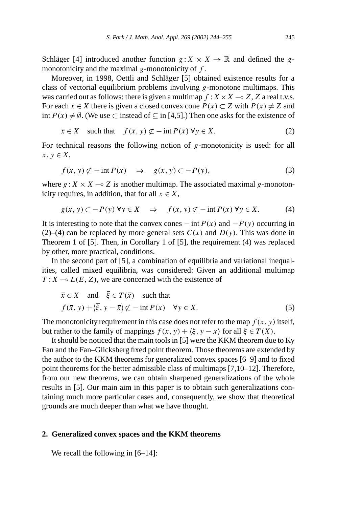Schläger [4] introduced another function  $g: X \times X \to \mathbb{R}$  and defined the *g*monotonicity and the maximal *g*-monotonicity of *f* .

Moreover, in 1998, Oettli and Schläger [5] obtained existence results for a class of vectorial equilibrium problems involving *g*-monotone multimaps. This was carried out as follows: there is given a multimap  $f : X \times X \to Z$ , Z a real t.v.s. For each  $x \in X$  there is given a closed convex cone  $P(x) \subset Z$  with  $P(x) \neq Z$  and int  $P(x) \neq \emptyset$ . (We use ⊂ instead of ⊆ in [4,5].) Then one asks for the existence of

$$
\overline{x} \in X \quad \text{such that} \quad f(\overline{x}, y) \not\subset -\text{int } P(\overline{x}) \,\forall y \in X. \tag{2}
$$

For technical reasons the following notion of *g*-monotonicity is used: for all  $x, y \in X$ ,

$$
f(x, y) \not\subset -\operatorname{int} P(x) \quad \Rightarrow \quad g(x, y) \subset -P(y),\tag{3}
$$

where  $g: X \times X \to Z$  is another multimap. The associated maximal g-monotonicity requires, in addition, that for all  $x \in X$ ,

$$
g(x, y) \subset -P(y) \forall y \in X \quad \Rightarrow \quad f(x, y) \not\subset -\inf P(x) \forall y \in X. \tag{4}
$$

It is interesting to note that the convex cones  $-\text{int } P(x)$  and  $-P(y)$  occurring in (2)–(4) can be replaced by more general sets  $C(x)$  and  $D(y)$ . This was done in Theorem 1 of [5]. Then, in Corollary 1 of [5], the requirement (4) was replaced by other, more practical, conditions.

In the second part of [5], a combination of equilibria and variational inequalities, called mixed equilibria, was considered: Given an additional multimap  $T: X \to L(E, Z)$ , we are concerned with the existence of

$$
\overline{x} \in X \quad \text{and} \quad \overline{\xi} \in T(\overline{x}) \quad \text{such that}
$$
\n
$$
f(\overline{x}, y) + \langle \overline{\xi}, y - \overline{x} \rangle \not\subset -\text{int } P(x) \quad \forall y \in X.
$$
\n(5)

The monotonicity requirement in this case does not refer to the map  $f(x, y)$  itself, but rather to the family of mappings  $f(x, y) + \langle \xi, y - x \rangle$  for all  $\xi \in T(X)$ .

It should be noticed that the main tools in [5] were the KKM theorem due to Ky Fan and the Fan–Glicksberg fixed point theorem. Those theorems are extended by the author to the KKM theorems for generalized convex spaces [6–9] and to fixed point theorems for the better admissible class of multimaps [7,10–12]. Therefore, from our new theorems, we can obtain sharpened generalizations of the whole results in [5]. Our main aim in this paper is to obtain such generalizations containing much more particular cases and, consequently, we show that theoretical grounds are much deeper than what we have thought.

#### **2. Generalized convex spaces and the KKM theorems**

We recall the following in [6–14]: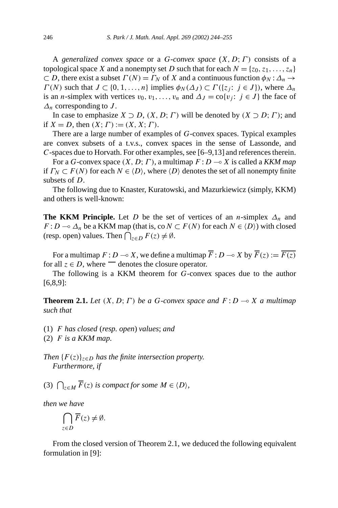A *generalized convex space* or a *G*-*convex space* (*X, D*;*Γ )* consists of a topological space *X* and a nonempty set *D* such that for each  $N = \{z_0, z_1, \ldots, z_n\}$  $\subset D$ , there exist a subset  $\Gamma(N) = \Gamma_N$  of *X* and a continuous function  $\phi_N : \Delta_n \to \Delta_N$ *Γ*(*N*) such that *J* ⊂ {0, 1, ..., *n*} implies  $\phi_N(\Delta_J) \subset \Gamma(\{z_j : j \in J\})$ , where  $\Delta_n$ is an *n*-simplex with vertices  $v_0, v_1, \ldots, v_n$  and  $\Delta_J = \text{co}\{v_j : j \in J\}$  the face of *∆n* corresponding to *J* .

In case to emphasize  $X \supset D$ ,  $(X, D; \Gamma)$  will be denoted by  $(X \supset D; \Gamma)$ ; and if  $X = D$ , then  $(X; \Gamma) := (X, X; \Gamma)$ .

There are a large number of examples of *G*-convex spaces. Typical examples are convex subsets of a t.v.s., convex spaces in the sense of Lassonde, and *C*-spaces due to Horvath. For other examples, see [6–9,13] and references therein.

For a *G*-convex space *(X, D*;*Γ )*, a multimap *F* : *D* - *X* is called a *KKM map* if  $\Gamma_N \subset F(N)$  for each  $N \in \langle D \rangle$ , where  $\langle D \rangle$  denotes the set of all nonempty finite subsets of *D*.

The following due to Knaster, Kuratowski, and Mazurkiewicz (simply, KKM) and others is well-known:

**The KKM Principle.** Let *D* be the set of vertices of an *n*-simplex  $\Delta_n$  and *F* : *D* →  $\Delta_n$  be a KKM map (that is, co *N* ⊂ *F*(*N*) for each *N* ∈  $\langle D \rangle$ ) with closed (resp. open) values. Then  $\bigcap_{z \in D} F(z) \neq \emptyset$ .

For a multimap  $F: D \to X$ , we define a multimap  $\overline{F}: D \to X$  by  $\overline{F}(z) := \overline{F(z)}$ for all  $z \in D$ , where denotes the closure operator.

The following is a KKM theorem for *G*-convex spaces due to the author [6,8,9]:

**Theorem 2.1.** *Let*  $(X, D; \Gamma)$  *be a G-convex space and*  $F: D \to X$  *a multimap such that*

- (1) *F has closed* (*resp. open*) *values*; *and*
- (2) *F is a KKM map.*

*Then*  ${F(z)}_{z \in D}$  *has the finite intersection property. Furthermore, if*

(3)  $\bigcap_{z \in M} \overline{F}(z)$  *is compact for some*  $M \in \langle D \rangle$ ,

*then we have*

$$
\bigcap_{z\in D} \overline{F}(z) \neq \emptyset.
$$

From the closed version of Theorem 2.1, we deduced the following equivalent formulation in [9]: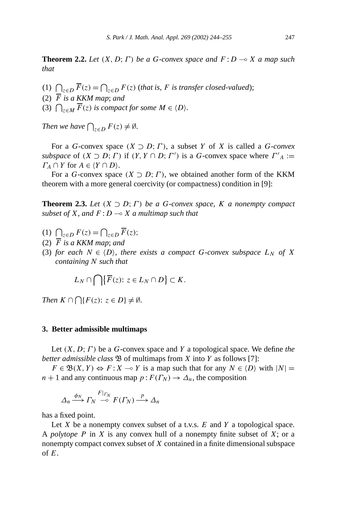**Theorem 2.2.** *Let*  $(X, D; \Gamma)$  *be a G-convex space and*  $F: D \to X$  *a map such that*

- (1)  $\bigcap_{z \in D} \overline{F}(z) = \bigcap_{z \in D} F(z)$  (that is, *F* is transfer closed-valued);
- (2)  $\overline{F}$  *is a KKM map*; *and*
- (3)  $\bigcap_{z \in M} \overline{F}(z)$  *is compact for some*  $M \in \langle D \rangle$ *.*

*Then we have*  $\bigcap_{z \in D} F(z) \neq \emptyset$ *.* 

For a *G*-convex space  $(X \supset D; \Gamma)$ , a subset *Y* of *X* is called a *G*-convex *subspace* of  $(X \supset D; \Gamma)$  if  $(Y, Y \cap D; \Gamma')$  is a *G*-convex space where  $\Gamma'_{A} :=$ *Γ*<sub>*A*</sub>  $\cap$  *Y* for *A*  $\in$   $\langle Y \cap D \rangle$ .

For a *G*-convex space  $(X \supset D; \Gamma)$ , we obtained another form of the KKM theorem with a more general coercivity (or compactness) condition in [9]:

**Theorem 2.3.** *Let*  $(X \supset D; \Gamma)$  *be a G*-convex space, *K a nonempty compact subset of X, and F* : *D* - *X a multimap such that*

- (1)  $\bigcap_{z \in D} F(z) = \bigcap_{z \in D} \overline{F}(z);$
- (2)  $\overline{F}$  *is a KKM map*; *and*
- (3) *for each*  $N \in \{D\}$ *, there exists a compact G-convex subspace*  $L_N$  *of X containing N such that*

$$
L_N \cap \bigcap \{ \overline{F}(z) \colon z \in L_N \cap D \} \subset K.
$$

*Then*  $K \cap \bigcap \{F(z): z \in D\} \neq \emptyset$ .

### **3. Better admissible multimaps**

Let *(X, D*;*Γ )* be a *G*-convex space and *Y* a topological space. We define *the better admissible class*  $\mathfrak{B}$  of multimaps from *X* into *Y* as follows [7]:

 $F \in \mathfrak{B}(X, Y) \Leftrightarrow F : X \to Y$  is a map such that for any  $N \in \langle D \rangle$  with  $|N| =$  $n + 1$  and any continuous map  $p : F(\Gamma_N) \to \Delta_n$ , the composition

$$
\Delta_n \xrightarrow{\phi_N} \Gamma_N \xrightarrow{F|_{\Gamma_N}} F(\Gamma_N) \xrightarrow{p} \Delta_n
$$

has a fixed point.

Let *X* be a nonempty convex subset of a t.v.s. *E* and *Y* a topological space. A *polytope P* in *X* is any convex hull of a nonempty finite subset of *X*; or a nonempty compact convex subset of *X* contained in a finite dimensional subspace of *E*.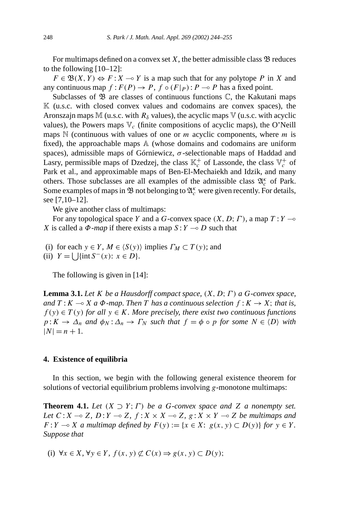For multimaps defined on a convex set  $X$ , the better admissible class  $\mathfrak B$  reduces to the following [10–12]:

 $F \in \mathfrak{B}(X, Y) \Leftrightarrow F : X \to Y$  is a map such that for any polytope *P* in *X* and any continuous map  $f: F(P) \to P$ ,  $f \circ (F|_P): P \to P$  has a fixed point.

Subclasses of  $\mathfrak B$  are classes of continuous functions  $\mathbb C$ , the Kakutani maps  $\mathbb K$  (u.s.c. with closed convex values and codomains are convex spaces), the Aronszajn maps M (u.s.c. with  $R_{\delta}$  values), the acyclic maps V (u.s.c. with acyclic values), the Powers maps  $V_c$  (finite compositions of acyclic maps), the O'Neill maps N (continuous with values of one or *m* acyclic components, where *m* is fixed), the approachable maps A (whose domains and codomains are uniform spaces), admissible maps of Górniewicz, *σ* -selectionable maps of Haddad and Lasry, permissible maps of Dzedzej, the class  $\mathbb{K}_c^+$  of Lassonde, the class  $\mathbb{V}_c^+$  of Park et al., and approximable maps of Ben-El-Mechaiekh and Idzik, and many others. Those subclasses are all examples of the admissible class  $\mathfrak{A}_{c}^{\kappa}$  of Park. Some examples of maps in  $\mathfrak B$  not belonging to  $\mathfrak A_c^\kappa$  were given recently. For details, see [7,10–12].

We give another class of multimaps:

For any topological space *Y* and a *G*-convex space *(X, D*;*Γ )*, a map *T* : *Y* - *X* is called a  $\Phi$ -*map* if there exists a map  $S: Y \to D$  such that

(i) for each  $y \in Y$ ,  $M \in \langle S(y) \rangle$  implies  $\Gamma_M \subset T(y)$ ; and

(ii)  $Y = \bigcup \{ \text{int } S^{-}(x) : x \in D \}.$ 

The following is given in [14]:

**Lemma 3.1.** *Let K be a Hausdorff compact space, (X, D*;*Γ ) a G-convex space, and*  $T: K \to X$  *a*  $\Phi$ *-map. Then T has a continuous selection*  $f: K \to X$ ; *that is,*  $f(y) \in T(y)$  *for all*  $y \in K$ *. More precisely, there exist two continuous functions*  $p: K \to \Delta_n$  *and*  $\phi_N: \Delta_n \to \Gamma_N$  *such that*  $f = \phi \circ p$  *for some*  $N \in \langle D \rangle$  *with*  $|N| = n + 1$ .

### **4. Existence of equilibria**

In this section, we begin with the following general existence theorem for solutions of vectorial equilibrium problems involving *g*-monotone multimaps:

**Theorem 4.1.** *Let*  $(X \supset Y; \Gamma)$  *be a G*-convex space and *Z a* nonempty set. *Let*  $C: X \to Z$ ,  $D: Y \to Z$ ,  $f: X \times X \to Z$ ,  $g: X \times Y \to Z$  *be multimaps and*  $F: Y \to X$  *a multimap defined by*  $F(y) := \{x \in X: g(x, y) \subset D(y)\}$  *for*  $y \in Y$ *. Suppose that*

(i) ∀*x* ∈ *X*, ∀*y* ∈ *Y*, *f*(*x*, *y*) ⊄  $C(x)$  ⇒  $g(x, y)$  ⊂  $D(y)$ ;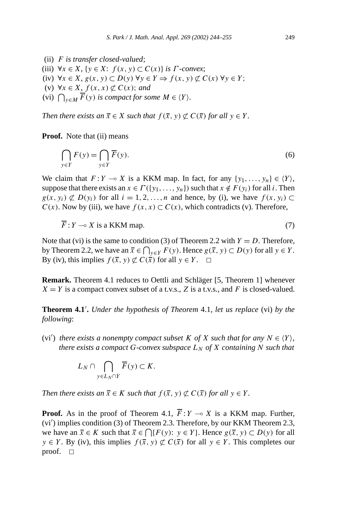- (ii) *F is transfer closed-valued*;
- (iii)  $\forall x \in X, \{y \in X: f(x, y) \subset C(x)\}\$ is *Γ*-convex;
- (iv) ∀*x* ∈ *X, g(x, y)* ⊂ *D(y)* ∀*y* ∈ *Y* ⇒ *f (x, y)* ⊂ *C(x)* ∀*y* ∈ *Y* ;
- (v) ∀*x* ∈ *X, f*(*x, x*)  $\notsubset C(x)$ *; and*
- (vi)  $\bigcap_{y \in M} \overline{F}(y)$  *is compact for some*  $M \in \langle Y \rangle$ *.*

*Then there exists an*  $\overline{x} \in X$  *such that*  $f(\overline{x}, y) \not\subset C(\overline{x})$  *for all*  $y \in Y$ *.* 

**Proof.** Note that (ii) means

$$
\bigcap_{y \in Y} F(y) = \bigcap_{y \in Y} \overline{F}(y). \tag{6}
$$

We claim that  $F: Y \to X$  is a KKM map. In fact, for any  $\{y_1, \ldots, y_n\} \in \langle Y \rangle$ , suppose that there exists an  $x \in \Gamma({y_1, ..., y_n})$  such that  $x \notin F(y_i)$  for all *i*. Then  $g(x, y_i) \not\subset D(y_i)$  for all  $i = 1, 2, ..., n$  and hence, by (i), we have  $f(x, y_i) \subset$ *C(x)*. Now by (iii), we have  $f(x, x) \subset C(x)$ , which contradicts (v). Therefore,

$$
\overline{F}: Y \longrightarrow X \text{ is a KKM map.} \tag{7}
$$

Note that (vi) is the same to condition (3) of Theorem 2.2 with  $Y = D$ . Therefore, by Theorem 2.2, we have an  $\bar{x} \in \bigcap_{y \in Y} F(y)$ . Hence  $g(\bar{x}, y) \subset D(y)$  for all  $y \in Y$ . By (iv), this implies  $f(\overline{x}, y) \not\subset C(\overline{x})$  for all  $y \in Y$ .  $\Box$ 

**Remark.** Theorem 4.1 reduces to Oettli and Schläger [5, Theorem 1] whenever  $X = Y$  is a compact convex subset of a t.v.s., *Z* is a t.v.s., and *F* is closed-valued.

**Theorem 4.1 .** *Under the hypothesis of Theorem* 4.1*, let us replace* (vi) *by the following*:

(vi') *there exists a nonempty compact subset*  $K$  *of*  $X$  *such that for any*  $N \in \{Y\}$ , *there exists a compact*  $G$ *-convex subspace*  $L_N$  *of*  $X$  *containing*  $N$  *such that* 

$$
L_N \cap \bigcap_{y \in L_N \cap Y} \overline{F}(y) \subset K.
$$

*Then there exists an*  $\bar{x} \in K$  *such that*  $f(\bar{x}, y) \not\subset C(\bar{x})$  *for all*  $y \in Y$ *.* 

**Proof.** As in the proof of Theorem 4.1,  $F: Y \to X$  is a KKM map. Further, (vi ) implies condition (3) of Theorem 2.3. Therefore, by our KKM Theorem 2.3, we have an  $\bar{x} \in K$  such that  $\bar{x} \in \bigcap \{F(y): y \in Y\}$ . Hence  $g(\bar{x}, y) \subset D(y)$  for all *y* ∈ *Y*. By (iv), this implies  $f(\bar{x}, y) \not\subset C(\bar{x})$  for all *y* ∈ *Y*. This completes our proof.  $\Box$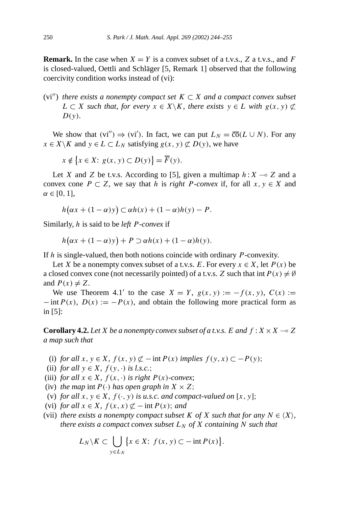**Remark.** In the case when  $X = Y$  is a convex subset of a t.v.s., Z a t.v.s., and F is closed-valued, Oettli and Schläger [5, Remark 1] observed that the following coercivity condition works instead of (vi):

(vi'') there exists a nonempty compact set  $K \subset X$  and a compact convex subset *L* ⊂ *X such that, for every*  $x \in X \backslash K$ *, there exists*  $y \in L$  *with*  $g(x, y) \not\subset L$ *D(y).*

We show that  $(vi'') \Rightarrow (vi')$ . In fact, we can put  $L_N = \overline{co}(L \cup N)$ . For any *x* ∈ *X* \ *K* and *y* ∈ *L* ⊂ *L<sub>N</sub>* satisfying *g*(*x, y*)  $\subset$  *D*(*y*), we have

$$
x \notin \{x \in X : g(x, y) \subset D(y)\} = \overline{F}(y).
$$

Let *X* and *Z* be t.v.s. According to [5], given a multimap  $h: X \rightarrow Z$  and a convex cone  $P \subset Z$ , we say that *h* is *right P-convex* if, for all  $x, y \in X$  and *α* ∈ [0*,* 1],

$$
h(\alpha x + (1 - \alpha)y) \subset \alpha h(x) + (1 - \alpha)h(y) - P.
$$

Similarly, *h* is said to be *left P-convex* if

$$
h(\alpha x + (1 - \alpha)y) + P \supset \alpha h(x) + (1 - \alpha)h(y).
$$

If *h* is single-valued, then both notions coincide with ordinary *P*-convexity.

Let *X* be a nonempty convex subset of a t.v.s. *E*. For every  $x \in X$ , let  $P(x)$  be a closed convex cone (not necessarily pointed) of a t.v.s. *Z* such that int  $P(x) \neq \emptyset$ and  $P(x) \neq Z$ .

We use Theorem 4.1' to the case  $X = Y$ ,  $g(x, y) := -f(x, y)$ ,  $C(x) :=$  $-\text{int }P(x)$ ,  $D(x) := -P(x)$ , and obtain the following more practical form as in [5]:

**Corollary 4.2.** Let *X* be a nonempty convex subset of a t.v.s. *E* and  $f: X \times X \to Z$ *a map such that*

- (i) *for all*  $x, y \in X$ ,  $f(x, y) \not\subset \text{–}int P(x)$  *implies*  $f(y, x) \subset \text{–}P(y)$ ;
- (ii) *for all*  $y \in X$ *,*  $f(y, \cdot)$  *is l.s.c.*;
- (iii) *for all*  $x \in X$ *,*  $f(x, \cdot)$  *is right*  $P(x)$ *-convex*;
- (iv) *the map* int  $P(\cdot)$  *has open graph in*  $X \times Z$ ;
- (v) *for all*  $x, y \in X$ *,*  $f(\cdot, y)$  *is u.s.c. and compact-valued on*  $[x, y]$ ;
- (vi) *for all*  $x \in X$ *,*  $f(x, x) \not\subset \text{–} \text{int } P(x)$ *; and*
- (vii) *there exists a nonempty compact subset*  $K$  *of*  $X$  *such that for any*  $N \in \{X\}$ , *there exists a compact convex subset*  $L_N$  *of*  $X$  *containing*  $N$  *such that*

$$
L_N \backslash K \subset \bigcup_{y \in L_N} \left\{ x \in X : f(x, y) \subset -\inf P(x) \right\}.
$$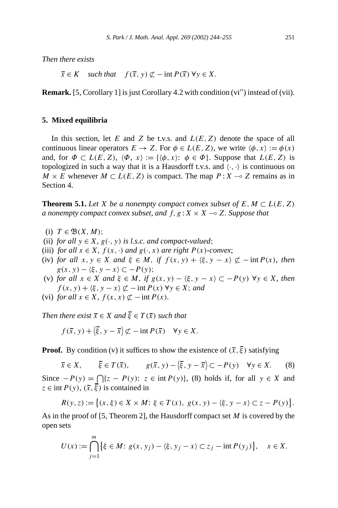*Then there exists*

 $\overline{x} \in K$  *such that*  $f(\overline{x}, y) \not\subset -\text{int } P(\overline{x}) \forall y \in X$ .

**Remark.** [5, Corollary 1] is just Corollary 4.2 with condition (vi'') instead of (vii).

### **5. Mixed equilibria**

In this section, let *E* and *Z* be t.v.s. and *L(E, Z)* denote the space of all continuous linear operators  $E \to Z$ . For  $\phi \in L(E, Z)$ , we write  $\langle \phi, x \rangle := \phi(x)$ and, for  $\Phi \subset L(E, Z)$ ,  $\langle \Phi, x \rangle := \{ \langle \phi, x \rangle : \phi \in \Phi \}$ . Suppose that  $L(E, Z)$  is topologized in such a way that it is a Hausdorff t.v.s. and  $\langle \cdot, \cdot \rangle$  is continuous on *M*  $\times$  *E* whenever *M*  $\subset$  *L*(*E*, *Z*) is compact. The map *P* : *X*  $\sim$  *Z* remains as in Section 4.

**Theorem 5.1.** *Let X be a nonempty compact convex subset of*  $E, M \subset L(E, Z)$ *a nonempty compact convex subset, and f, g* :*X* × *X* - *Z. Suppose that*

- (i)  $T \in \mathfrak{B}(X, M)$ ;
- (ii) *for all*  $y \in X$ *, g*( $\cdot$ *, y) is l.s.c. and compact-valued*;
- (iii) *for all*  $x \in X$ *,*  $f(x, \cdot)$  *and*  $g(\cdot, x)$  *are right*  $P(x)$ *-convex*;
- (iv) *for all*  $x, y \in X$  *and*  $\xi \in M$ , *if*  $f(x, y) + \langle \xi, y x \rangle \not\subset -\inf P(x)$ *, then*  $g(x, y) - \langle \xi, y - x \rangle \subset -P(y);$
- (v) *for all*  $x \in X$  *and*  $\xi \in M$ , *if*  $g(x, y) \langle \xi, y x \rangle \subset P(y)$   $\forall y \in X$ , then  $f(x, y) + \langle \xi, y - x \rangle \not\subset -\text{int } P(x) \,\forall y \in X;$  *and*
- (vi) *for all*  $x \in X$ *,*  $f(x, x) \not\subset \text{int } P(x)$ *.*

*Then there exist*  $\overline{x} \in X$  *and*  $\overline{\xi} \in T(\overline{x})$  *such that* 

$$
f(\overline{x}, y) + \langle \overline{\xi}, y - \overline{x} \rangle \not\subset -\text{int } P(\overline{x}) \quad \forall y \in X.
$$

**Proof.** By condition (v) it suffices to show the existence of  $(\bar{x}, \bar{\xi})$  satisfying

 $\overline{x} \in X$ ,  $\overline{\xi} \in T(\overline{x})$ ,  $g(\overline{x}, y) - \langle \overline{\xi}, y - \overline{x} \rangle \subset -P(y)$   $\forall y \in X$ . (8) Since  $-P(y) = \bigcap \{z - P(y): z \in \text{int } P(y)\}\$ , (8) holds if, for all *y* ∈ *X* and  $z \in \text{int } P(y)$ ,  $(\overline{x}, \overline{\xi})$  is contained in

$$
R(y, z) := \left\{ (x, \xi) \in X \times M \colon \xi \in T(x), \ g(x, y) - \langle \xi, y - x \rangle \subset z - P(y) \right\}.
$$

As in the proof of [5, Theorem 2], the Hausdorff compact set *M* is covered by the open sets

$$
U(x) := \bigcap_{j=1}^{m} \{ \xi \in M \colon g(x, y_j) - \langle \xi, y_j - x \rangle \subset z_j - \inf P(y_j) \}, \quad x \in X.
$$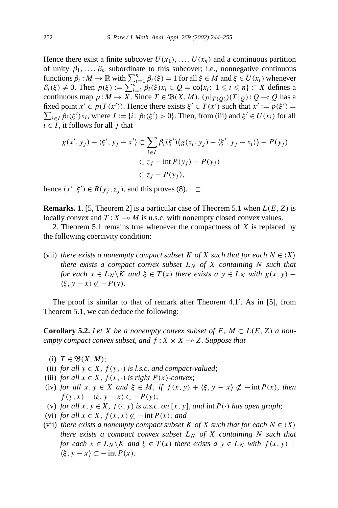Hence there exist a finite subcover  $U(x_1), \ldots, U(x_n)$  and a continuous partition of unity  $\beta_1, \ldots, \beta_n$  subordinate to this subcover; i.e., nonnegative continuous functions  $\beta_i : M \to \mathbb{R}$  with  $\sum_{i=1}^n \beta_i(\xi) = 1$  for all  $\xi \in M$  and  $\xi \in U(x_i)$  whenever  $\beta_i(\xi) \neq 0$ . Then  $p(\xi) := \sum_{i=1}^{n} \beta_i(\xi) x_i \in Q = \text{co}\{x_i : 1 \leq i \leq n\} \subset X$  defines a continuous map  $p: M \to X$ . Since  $T \in \mathfrak{B}(X, M)$ ,  $(p|_{T(Q)})(T|_Q): Q \to Q$  has a fixed point  $x' \in p(T(x'))$ . Hence there exists  $\xi' \in T(x')$  such that  $x' := p(\xi') =$  $\sum_{i \in I} \beta_i(\xi') x_i$ , where  $I := \{i : \beta_i(\xi') > 0\}$ . Then, from (iii) and  $\xi' \in U(x_i)$  for all  $i \in I$ , it follows for all *j* that

$$
g(x', y_j) - \langle \xi', y_j - x' \rangle \subset \sum_{i \in I} \beta_i(\xi') \big(g(x_i, y_j) - \langle \xi', y_j - x_i \rangle\big) - P(y_j)
$$

$$
\subset z_j - \text{int } P(y_j) - P(y_j)
$$

$$
\subset z_j - P(y_j),
$$

hence  $(x', \xi') \in R(y_j, z_j)$ , and this proves (8).  $\Box$ 

**Remarks.** 1. [5, Theorem 2] is a particular case of Theorem 5.1 when *L(E, Z)* is locally convex and  $T: X \to M$  is u.s.c. with nonempty closed convex values.

2. Theorem 5.1 remains true whenever the compactness of *X* is replaced by the following coercivity condition:

(vii) *there exists a nonempty compact subset K of X such that for each*  $N \in \langle X \rangle$ *there exists a compact convex subset*  $L_N$  *of*  $X$  *containing*  $N$  *such that for each*  $x \in L_N \backslash K$  *and*  $\xi \in T(x)$  *there exists a*  $y \in L_N$  *with*  $g(x, y)$  −  $\langle \xi, y - x \rangle \not\subset -P(y)$ .

The proof is similar to that of remark after Theorem 4.1 . As in [5], from Theorem 5.1, we can deduce the following:

**Corollary 5.2.** *Let X be a nonempty convex subset of*  $E$ *,*  $M \subset L(E, Z)$  *a nonempty compact convex subset, and*  $f: X \times X \rightarrow Z$ *. Suppose that* 

- (i)  $T \in \mathfrak{B}(X, M);$
- (ii) *for all*  $y \in X$ *,*  $f(y, \cdot)$  *is l.s.c. and compact-valued*;
- (iii) *for all*  $x \in X$ *,*  $f(x, \cdot)$  *is right*  $P(x)$ *-convex*;
- (iv) *for all*  $x, y \in X$  *and*  $\xi \in M$ *, if*  $f(x, y) + \langle \xi, y x \rangle \not\subset -\text{int } P(x)$ *, then f* (*y*, *x*) −  $\langle \xi, y - x \rangle$  ⊂ − *P* (*y*);
- (v) *for all*  $x, y \in X$ *,*  $f(\cdot, y)$  *is u.s.c. on* [ $x, y$ ]*, and* int  $P(\cdot)$  *has open graph*;
- (vi) *for all*  $x \in X$ *,*  $f(x, x) \not\subset$  − int  $P(x)$ *; and*
- (vii) *there exists a nonempty compact subset K of X such that for each*  $N \in \langle X \rangle$ *there exists a compact convex subset*  $L_N$  *of*  $X$  *containing*  $N$  *such that for each*  $x \in L_N \backslash K$  *and*  $\xi \in T(x)$  *there exists a*  $y \in L_N$  *with*  $f(x, y)$  +  $\langle \xi, y - x \rangle \subset -\text{int } P(x)$ *.*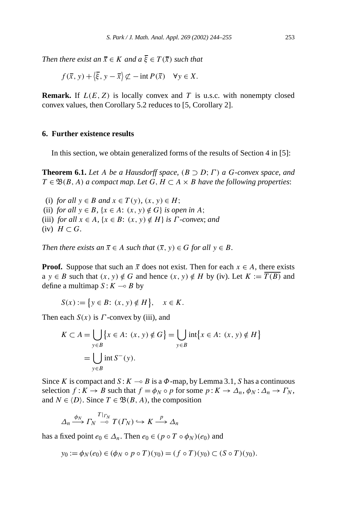*Then there exist an*  $\overline{x} \in K$  *and*  $a \overline{\xi} \in T(\overline{x})$  *such that* 

$$
f(\overline{x}, y) + \langle \overline{\xi}, y - \overline{x} \rangle \not\subset -\text{int } P(\overline{x}) \quad \forall y \in X.
$$

**Remark.** If  $L(E, Z)$  is locally convex and *T* is u.s.c. with nonempty closed convex values, then Corollary 5.2 reduces to [5, Corollary 2].

### **6. Further existence results**

In this section, we obtain generalized forms of the results of Section 4 in [5]:

**Theorem 6.1.** *Let A be a Hausdorff space,*  $(B \supset D; \Gamma)$  *a G*-convex space, and *T* ∈  $\mathfrak{B}(B, A)$  *a compact map. Let G*, *H* ⊂ *A* × *B have the following properties:* 

(i) *for all*  $y \in B$  *and*  $x \in T(y)$ *,*  $(x, y) \in H$ ; (ii) *for all*  $y \in B$ *,*  $\{x \in A : (x, y) \notin G\}$  *is open in A*; (iii) *for all*  $x \in A$ *,*  $\{x \in B: (x, y) \notin H\}$  *is*  $\Gamma$ *-convex; and*  $(iv)$  *H*  $\subset$  *G*.

*Then there exists an*  $\overline{x} \in A$  *such that*  $(\overline{x}, y) \in G$  *for all*  $y \in B$ *.* 

**Proof.** Suppose that such an  $\bar{x}$  does not exist. Then for each  $x \in A$ , there exists  $a \ y \in B$  such that  $(x, y) \notin G$  and hence  $(x, y) \notin H$  by (iv). Let  $K := \overline{T(B)}$  and define a multimap  $S: K \longrightarrow B$  by

$$
S(x) := \{ y \in B : (x, y) \notin H \}, \quad x \in K.
$$

Then each *S(x)* is *Γ* -convex by (iii), and

$$
K \subset A = \bigcup_{y \in B} \{x \in A: (x, y) \notin G\} = \bigcup_{y \in B} \text{int}\{x \in A: (x, y) \notin H\}
$$

$$
= \bigcup_{y \in B} \text{int } S^-(y).
$$

Since *K* is compact and  $S: K \to B$  is a  $\Phi$ -map, by Lemma 3.1, *S* has a continuous selection  $f: K \to B$  such that  $f = \phi_N \circ p$  for some  $p: K \to \Delta_n, \phi_N: \Delta_n \to \Gamma_N$ , and  $N \in \langle D \rangle$ . Since  $T \in \mathfrak{B}(B, A)$ , the composition

$$
\Delta_n \xrightarrow{\phi_N} \Gamma_N \xrightarrow{T|_{\Gamma_N}} T(\Gamma_N) \hookrightarrow K \xrightarrow{p} \Delta_n
$$

has a fixed point  $e_0 \in \Delta_n$ . Then  $e_0 \in (p \circ T \circ \phi_N)(e_0)$  and

$$
y_0 := \phi_N(e_0) \in (\phi_N \circ p \circ T)(y_0) = (f \circ T)(y_0) \subset (S \circ T)(y_0).
$$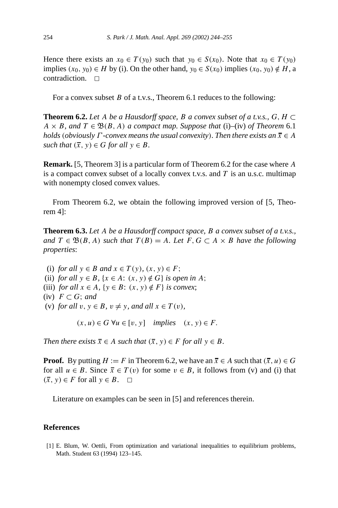Hence there exists an  $x_0 \in T(y_0)$  such that  $y_0 \in S(x_0)$ . Note that  $x_0 \in T(y_0)$ implies  $(x_0, y_0)$  ∈ *H* by (i). On the other hand,  $y_0$  ∈ *S*( $x_0$ ) implies  $(x_0, y_0) \notin H$ , a contradiction.  $\Box$ 

For a convex subset *B* of a t.v.s., Theorem 6.1 reduces to the following:

**Theorem 6.2.** *Let A be a Hausdorff space, B a convex subset of a t.v.s., G,*  $H \subset$  $A \times B$ , and  $T \in \mathfrak{B}(B, A)$  *a compact map. Suppose that* (i)–(iv) *of Theorem* 6.1 *holds* (*obviously*  $\Gamma$ *-convex means the usual convexity*)*. Then there exists an*  $\overline{x} \in A$ *such that*  $(\bar{x}, y) \in G$  *for all*  $y \in B$ *.* 

**Remark.** [5, Theorem 3] is a particular form of Theorem 6.2 for the case where *A* is a compact convex subset of a locally convex t.v.s. and *T* is an u.s.c. multimap with nonempty closed convex values.

From Theorem 6.2, we obtain the following improved version of [5, Theorem 4]:

**Theorem 6.3.** *Let A be a Hausdorff compact space, B a convex subset of a t.v.s., and*  $T \in \mathfrak{B}(B, A)$  *such that*  $T(B) = A$ *. Let*  $F, G \subset A \times B$  *have the following properties*:

(i) *for all*  $y \in B$  *and*  $x \in T(y)$ *,*  $(x, y) \in F$ ; (ii) *for all*  $y \in B$ ,  $\{x \in A: (x, y) \notin G\}$  *is open in A*; (iii) *for all*  $x \in A$ ,  $\{y \in B: (x, y) \notin F\}$  *is convex*;  $(iv)$  *F* ⊂ *G*; *and* (v) *for all*  $v, y \in B$ *,*  $v \neq y$ *, and all*  $x \in T(v)$ *,* 

 $(x, u) ∈ G \forall u ∈ [v, y]$  *implies*  $(x, y) ∈ F$ .

*Then there exists*  $\overline{x} \in A$  *such that*  $(\overline{x}, y) \in F$  *for all*  $y \in B$ *.* 

**Proof.** By putting  $H := F$  in Theorem 6.2, we have an  $\overline{x} \in A$  such that  $(\overline{x}, u) \in G$ for all  $u \in B$ . Since  $\overline{x} \in T(v)$  for some  $v \in B$ , it follows from (v) and (i) that  $(\overline{x}, y)$  ∈ *F* for all  $y$  ∈ *B*.  $□$ 

Literature on examples can be seen in [5] and references therein.

#### **References**

[1] E. Blum, W. Oettli, From optimization and variational inequalities to equilibrium problems, Math. Student 63 (1994) 123–145.